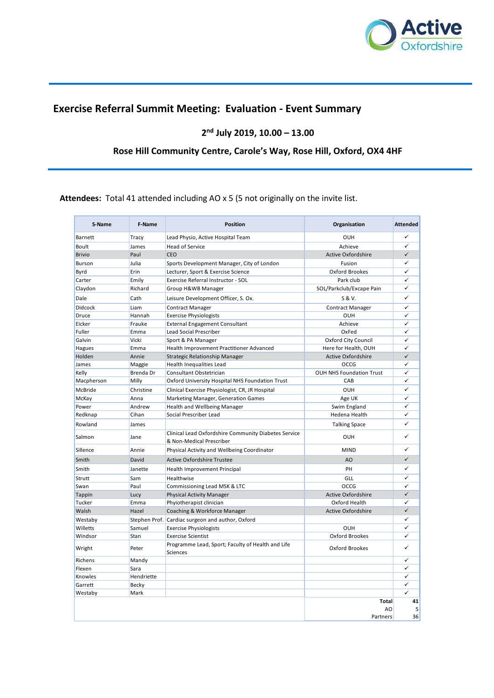

# **Exercise Referral Summit Meeting: Evaluation - Event Summary**

**2 nd July 2019, 10.00 – 13.00**

# **Rose Hill Community Centre, Carole's Way, Rose Hill, Oxford, OX4 4HF**

**Attendees:** Total 41 attended including AO x 5 (5 not originally on the invite list.

| S-Name         | F-Name       | <b>Position</b>                                                                  | Organisation                    | <b>Attended</b> |
|----------------|--------------|----------------------------------------------------------------------------------|---------------------------------|-----------------|
| <b>Barnett</b> | Tracy        | Lead Physio, Active Hospital Team                                                | <b>OUH</b>                      | ✓               |
| <b>Boult</b>   | James        | <b>Head of Service</b>                                                           | Achieve                         | ✓               |
| <b>Brivio</b>  | Paul         | CEO                                                                              | <b>Active Oxfordshire</b>       | $\checkmark$    |
| <b>Burson</b>  | Julia        | Sports Development Manager, City of London                                       | Fusion                          | ✓               |
| <b>Byrd</b>    | Erin         | Lecturer, Sport & Exercise Science                                               | Oxford Brookes                  | ✓               |
| Carter         | Emily        | Exercise Referral Instructor - SOL                                               | Park club                       | ✓               |
| Claydon        | Richard      | Group H&WB Manager                                                               | SOL/Parkclub/Excape Pain        | ✓               |
| Dale           | Cath         | Leisure Development Officer, S. Ox.                                              | S & V.                          | ✓               |
| <b>Didcock</b> | Liam         | <b>Contract Manager</b>                                                          | <b>Contract Manager</b>         | ✓               |
| Druce          | Hannah       | <b>Exercise Physiologists</b>                                                    | <b>OUH</b>                      | ✓               |
| Eicker         | Frauke       | External Engagement Consultant                                                   | Achieve                         | ✓               |
| Fuller         | Emma         | Lead Social Prescriber                                                           | OxFed                           | ✓               |
| Galvin         | Vicki        | Sport & PA Manager                                                               | Oxford City Council             | ✓               |
| <b>Hagues</b>  | Emma         | Health Improvement Practitioner Advanced                                         | Here for Health, OUH            | ✓               |
| Holden         | Annie        | Strategic Relationship Manager                                                   | <b>Active Oxfordshire</b>       | $\checkmark$    |
| James          | Maggie       | Health Inequalities Lead                                                         | OCCG                            | $\checkmark$    |
| Kelly          | Brenda Dr    | Consultant Obstetrician                                                          | <b>OUH NHS Foundation Trust</b> | ✓               |
| Macpherson     | Milly        | Oxford University Hospital NHS Foundation Trust                                  | CAB                             | ✓               |
| <b>McBride</b> | Christine    | Clinical Exercise Physiologist, CR, JR Hospital                                  | OUH                             | ✓               |
| McKay          | Anna         | Marketing Manager, Generation Games                                              | Age UK                          | ✓               |
| Power          | Andrew       | Health and Wellbeing Manager                                                     | Swim England                    | ✓               |
| Redknap        | Cihan        | Social Prescriber Lead                                                           | Hedena Health                   | ✓               |
| Rowland        | James        |                                                                                  | <b>Talking Space</b>            | ✓               |
| Salmon         | Jane         | Clinical Lead Oxfordshire Community Diabetes Service<br>& Non-Medical Prescriber | OUH                             | ✓               |
| Sillence       | Annie        | Physical Activity and Wellbeing Coordinator                                      | <b>MIND</b>                     |                 |
| Smith          | David        | <b>Active Oxfordshire Trustee</b>                                                | AO.                             | $\checkmark$    |
| Smith          | Janette      | Health Improvement Principal                                                     | PH                              | ✓               |
| Strutt         | Sam          | Healthwise                                                                       | GLL                             | ✓               |
| Swan           | Paul         | Commissioning Lead MSK & LTC                                                     | OCCG                            | $\checkmark$    |
| <b>Tappin</b>  | Lucy         | <b>Physical Activity Manager</b>                                                 | <b>Active Oxfordshire</b>       | $\checkmark$    |
| Tucker         | Emma         | Phyiotherapist clinician                                                         | Oxford Health                   |                 |
| Walsh          | Hazel        | Coaching & Workforce Manager                                                     | <b>Active Oxfordshire</b>       | $\checkmark$    |
| Westaby        |              | Stephen Prof. Cardiac surgeon and author, Oxford                                 |                                 | $\checkmark$    |
| Willetts       | Samuel       | <b>Exercise Physiologists</b>                                                    | OUH                             | ✓               |
| Windsor        | Stan         | <b>Exercise Scientist</b>                                                        | Oxford Brookes                  | ✓               |
| Wright         | Peter        | Programme Lead, Sport; Faculty of Health and Life<br><b>Sciences</b>             | Oxford Brookes                  | ✓               |
| Richens        | Mandy        |                                                                                  |                                 | $\checkmark$    |
| Flexen         | Sara         |                                                                                  |                                 | ✓               |
| Knowles        | Hendriette   |                                                                                  |                                 | $\checkmark$    |
| Garrett        | <b>Becky</b> |                                                                                  |                                 | ✓               |
| Westaby        | Mark         |                                                                                  |                                 | ✓               |
|                |              |                                                                                  | <b>Total</b><br>AO<br>Partners  | 41<br>5<br>36   |
|                |              |                                                                                  |                                 |                 |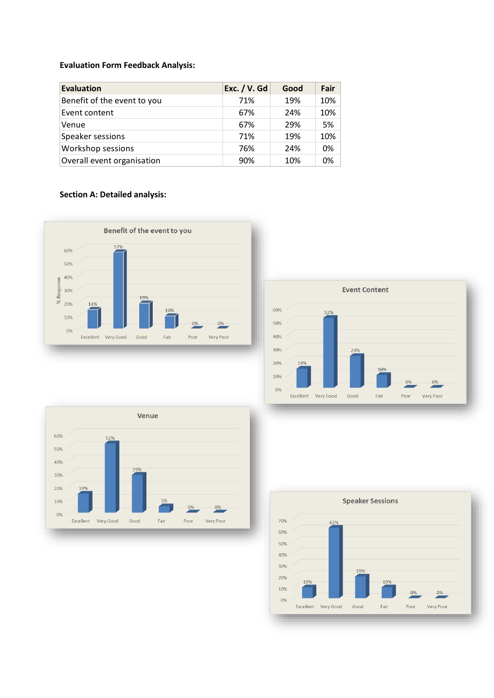### **Evaluation Form Feedback Analysis:**

| <b>Evaluation</b>           | Exc. / V. Gd | Good | Fair   |
|-----------------------------|--------------|------|--------|
| Benefit of the event to you | 71%          | 19%  | $10\%$ |
| Event content               | 67%          | 24%  | $10\%$ |
| Venue                       | 67%          | 29%  | 5%     |
| Speaker sessions            | 71%          | 19%  | $10\%$ |
| Workshop sessions           | 76%          | 24%  | 0%     |
| Overall event organisation  | 90%          | 10%  | 0%     |

## **Section A: Detailed analysis:**







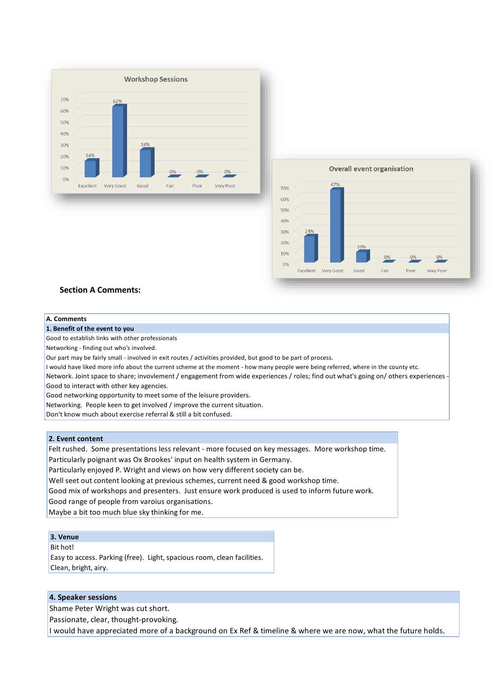



#### **Section A Comments:**

#### **A. Comments**

#### **1. Benefit of the event to you**

Good to establish links with other professionals

Networking - finding out who's involved.

Our part may be fairly small - involved in exit routes / activities provided, but good to be part of process.

I would have liked more info about the current scheme at the moment - how many people were being referred, where in the county etc.

Network. Joint space to share; invovlement / engagement from wide experiences / roles; find out what's going on/ others experiences - Good to interact with other key agencies.

Good networking opportunity to meet some of the leisure providers.

Networking. People keen to get involved / improve the current situation.

Don't know much about exercise referral & still a bit confused.

### **2. Event content**

Felt rushed. Some presentations less relevant - more focused on key messages. More workshop time.

Particularly poignant was Ox Brookes' input on health system in Germany.

Particularly enjoyed P. Wright and views on how very different society can be.

Well seet out content looking at previous schemes, current need & good workshop time.

Good mix of workshops and presenters. Just ensure work produced is used to inform future work.

Good range of people from varoius organisations.

Maybe a bit too much blue sky thinking for me.

### **3. Venue**

Bit hot!

Easy to access. Parking (free). Light, spacious room, clean facilities. Clean, bright, airy.

### **4. Speaker sessions**

Shame Peter Wright was cut short.

Passionate, clear, thought-provoking.

I would have appreciated more of a background on Ex Ref & timeline & where we are now, what the future holds.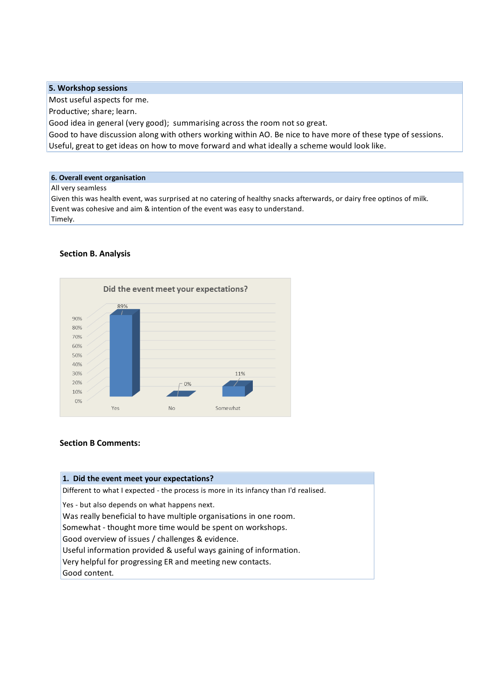### **5. Workshop sessions**

Most useful aspects for me.

Productive; share; learn.

Good idea in general (very good); summarising across the room not so great.

Useful, great to get ideas on how to move forward and what ideally a scheme would look like. Good to have discussion along with others working within AO. Be nice to have more of these type of sessions.

### **6. Overall event organisation**

#### All very seamless

Timely. Event was cohesive and aim & intention of the event was easy to understand. Given this was health event, was surprised at no catering of healthy snacks afterwards, or dairy free optinos of milk.

### **Section B. Analysis**



### **Section B Comments:**

| 1. Did the event meet your expectations?                                             |  |  |  |
|--------------------------------------------------------------------------------------|--|--|--|
| Different to what I expected - the process is more in its infancy than I'd realised. |  |  |  |
| Yes - but also depends on what happens next.                                         |  |  |  |
| Was really beneficial to have multiple organisations in one room.                    |  |  |  |
| Somewhat - thought more time would be spent on workshops.                            |  |  |  |
| Good overview of issues / challenges & evidence.                                     |  |  |  |
| Useful information provided & useful ways gaining of information.                    |  |  |  |
| Very helpful for progressing ER and meeting new contacts.                            |  |  |  |
| Good content.                                                                        |  |  |  |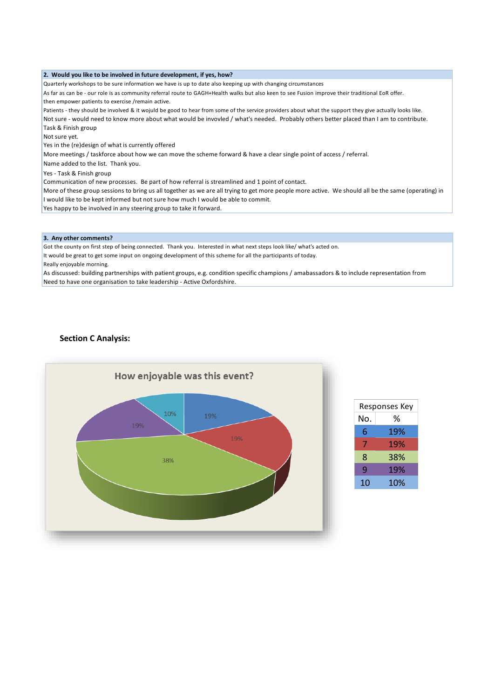#### **2. Would you like to be involved in future development, if yes, how?**

Quarterly workshops to be sure information we have is up to date also keeping up with changing circumstances

As far as can be - our role is as community referral route to GAGH+Health walks but also keen to see Fusion improve their traditional EoR offer. then empower patients to exercise /remain active.

Patients - they should be involved & it wojuld be good to hear from some of the service providers about what the support they give actually looks like.

Not sure - would need to know more about what would be invovled / what's needed. Probably others better placed than I am to contribute. Task & Finish group

Not sure yet.

Yes in the (re)design of what is currently offered

More meetings / taskforce about how we can move the scheme forward & have a clear single point of access / referral.

Name added to the list. Thank you.

Yes - Task & Finish group

Communication of new processes. Be part of how referral is streamlined and 1 point of contact.

I would like to be kept informed but not sure how much I would be able to commit. More of these group sessions to bring us all together as we are all trying to get more people more active. We should all be the same (operating) in

Yes happy to be involved in any steering group to take it forward.

#### **3. Any other comments?**

Got the county on first step of being connected. Thank you. Interested in what next steps look like/ what's acted on.

It would be great to get some input on ongoing development of this scheme for all the participants of today.

Really enjoyable morning.

As discussed: building partnerships with patient groups, e.g. condition specific champions / amabassadors & to include representation from Need to have one organisation to take leadership - Active Oxfordshire.

#### **Section C Analysis:**